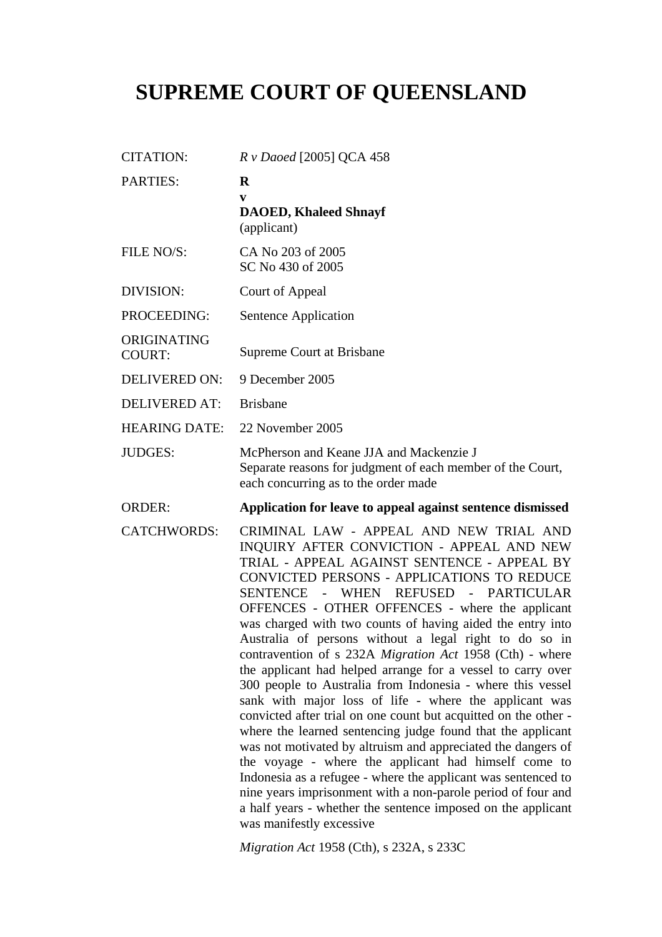# **SUPREME COURT OF QUEENSLAND**

|                              | R v Daoed [2005] QCA 458                                                                                                                      |
|------------------------------|-----------------------------------------------------------------------------------------------------------------------------------------------|
| <b>PARTIES:</b>              | $\bf{R}$<br>V<br><b>DAOED, Khaleed Shnayf</b><br>(applicant)                                                                                  |
| FILE NO/S:                   | CA No 203 of 2005<br>SC No 430 of 2005                                                                                                        |
| DIVISION:                    | Court of Appeal                                                                                                                               |
| PROCEEDING:                  | Sentence Application                                                                                                                          |
| ORIGINATING<br><b>COURT:</b> | <b>Supreme Court at Brisbane</b>                                                                                                              |
| <b>DELIVERED ON:</b>         | 9 December 2005                                                                                                                               |
| <b>DELIVERED AT:</b>         | <b>Brisbane</b>                                                                                                                               |
| <b>HEARING DATE:</b>         | 22 November 2005                                                                                                                              |
| <b>JUDGES:</b>               | McPherson and Keane JJA and Mackenzie J<br>Separate reasons for judgment of each member of the Court,<br>each concurring as to the order made |
| <b>ORDER:</b>                | Application for leave to appeal against sentence dismissed                                                                                    |
| <b>CATCHWORDS:</b>           | CRIMINAL LAW - APPEAL AND NEW TRIAL AND                                                                                                       |

*Migration Act* 1958 (Cth), s 232A, s 233C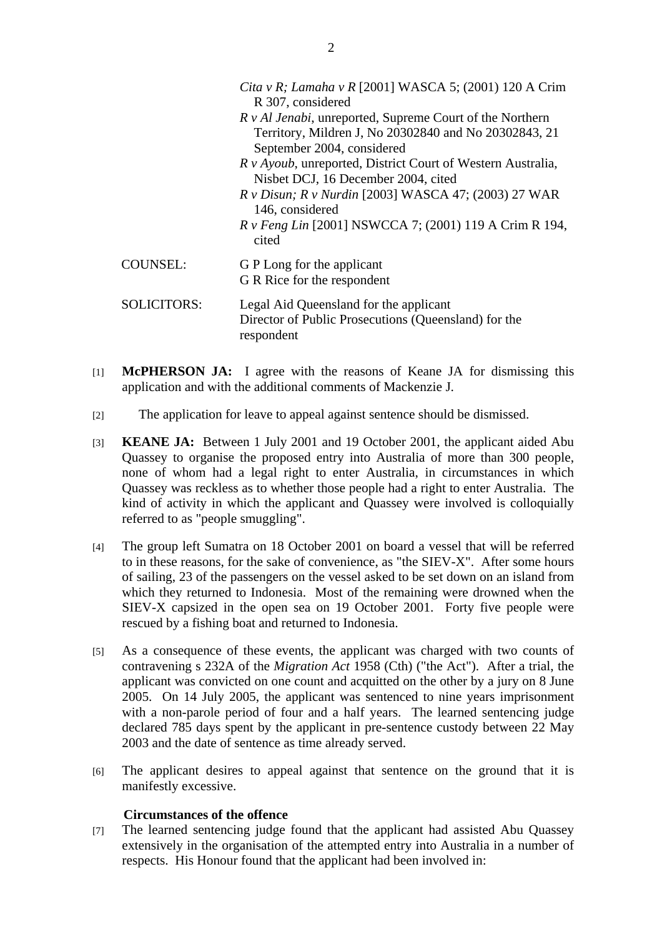|                    | Cita v R; Lamaha v R [2001] WASCA 5; (2001) 120 A Crim<br>R 307, considered<br><i>R v Al Jenabi</i> , unreported, Supreme Court of the Northern<br>Territory, Mildren J, No 20302840 and No 20302843, 21<br>September 2004, considered |
|--------------------|----------------------------------------------------------------------------------------------------------------------------------------------------------------------------------------------------------------------------------------|
|                    | R v Ayoub, unreported, District Court of Western Australia,<br>Nisbet DCJ, 16 December 2004, cited                                                                                                                                     |
|                    | <i>R v Disun; R v Nurdin</i> [2003] WASCA 47; (2003) 27 WAR<br>146, considered                                                                                                                                                         |
|                    | <i>R v Feng Lin</i> [2001] NSWCCA 7; (2001) 119 A Crim R 194,<br>cited                                                                                                                                                                 |
| <b>COUNSEL:</b>    | G P Long for the applicant<br>G R Rice for the respondent                                                                                                                                                                              |
| <b>SOLICITORS:</b> | Legal Aid Queensland for the applicant<br>Director of Public Prosecutions (Queensland) for the<br>respondent                                                                                                                           |

- [1] **McPHERSON JA:** I agree with the reasons of Keane JA for dismissing this application and with the additional comments of Mackenzie J.
- [2] The application for leave to appeal against sentence should be dismissed.
- [3] **KEANE JA:** Between 1 July 2001 and 19 October 2001, the applicant aided Abu Quassey to organise the proposed entry into Australia of more than 300 people, none of whom had a legal right to enter Australia, in circumstances in which Quassey was reckless as to whether those people had a right to enter Australia. The kind of activity in which the applicant and Quassey were involved is colloquially referred to as "people smuggling".
- [4] The group left Sumatra on 18 October 2001 on board a vessel that will be referred to in these reasons, for the sake of convenience, as "the SIEV-X". After some hours of sailing, 23 of the passengers on the vessel asked to be set down on an island from which they returned to Indonesia. Most of the remaining were drowned when the SIEV-X capsized in the open sea on 19 October 2001. Forty five people were rescued by a fishing boat and returned to Indonesia.
- [5] As a consequence of these events, the applicant was charged with two counts of contravening s 232A of the *Migration Act* 1958 (Cth) ("the Act"). After a trial, the applicant was convicted on one count and acquitted on the other by a jury on 8 June 2005. On 14 July 2005, the applicant was sentenced to nine years imprisonment with a non-parole period of four and a half years. The learned sentencing judge declared 785 days spent by the applicant in pre-sentence custody between 22 May 2003 and the date of sentence as time already served.
- [6] The applicant desires to appeal against that sentence on the ground that it is manifestly excessive.

#### **Circumstances of the offence**

[7] The learned sentencing judge found that the applicant had assisted Abu Quassey extensively in the organisation of the attempted entry into Australia in a number of respects. His Honour found that the applicant had been involved in: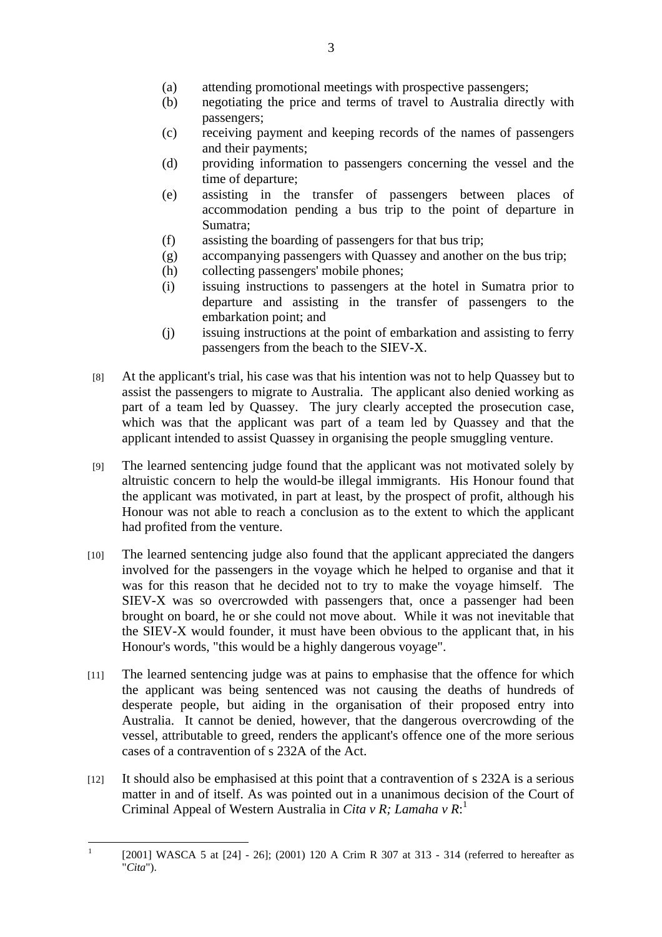- (a) attending promotional meetings with prospective passengers;
- (b) negotiating the price and terms of travel to Australia directly with passengers;
- (c) receiving payment and keeping records of the names of passengers and their payments;
- (d) providing information to passengers concerning the vessel and the time of departure;
- (e) assisting in the transfer of passengers between places of accommodation pending a bus trip to the point of departure in Sumatra;
- (f) assisting the boarding of passengers for that bus trip;
- (g) accompanying passengers with Quassey and another on the bus trip;
- (h) collecting passengers' mobile phones;
- (i) issuing instructions to passengers at the hotel in Sumatra prior to departure and assisting in the transfer of passengers to the embarkation point; and
- (j) issuing instructions at the point of embarkation and assisting to ferry passengers from the beach to the SIEV-X.
- [8] At the applicant's trial, his case was that his intention was not to help Quassey but to assist the passengers to migrate to Australia. The applicant also denied working as part of a team led by Quassey. The jury clearly accepted the prosecution case, which was that the applicant was part of a team led by Quassey and that the applicant intended to assist Quassey in organising the people smuggling venture.
- [9] The learned sentencing judge found that the applicant was not motivated solely by altruistic concern to help the would-be illegal immigrants. His Honour found that the applicant was motivated, in part at least, by the prospect of profit, although his Honour was not able to reach a conclusion as to the extent to which the applicant had profited from the venture.
- [10] The learned sentencing judge also found that the applicant appreciated the dangers involved for the passengers in the voyage which he helped to organise and that it was for this reason that he decided not to try to make the voyage himself. The SIEV-X was so overcrowded with passengers that, once a passenger had been brought on board, he or she could not move about. While it was not inevitable that the SIEV-X would founder, it must have been obvious to the applicant that, in his Honour's words, "this would be a highly dangerous voyage".
- [11] The learned sentencing judge was at pains to emphasise that the offence for which the applicant was being sentenced was not causing the deaths of hundreds of desperate people, but aiding in the organisation of their proposed entry into Australia. It cannot be denied, however, that the dangerous overcrowding of the vessel, attributable to greed, renders the applicant's offence one of the more serious cases of a contravention of s 232A of the Act.
- [12] It should also be emphasised at this point that a contravention of s 232A is a serious matter in and of itself. As was pointed out in a unanimous decision of the Court of Criminal Appeal of Western Australia in *Cita v R; Lamaha v R*: 1

 $\frac{1}{1}$ [2001] WASCA 5 at [24] - 26]; (2001) 120 A Crim R 307 at 313 - 314 (referred to hereafter as "*Cita*").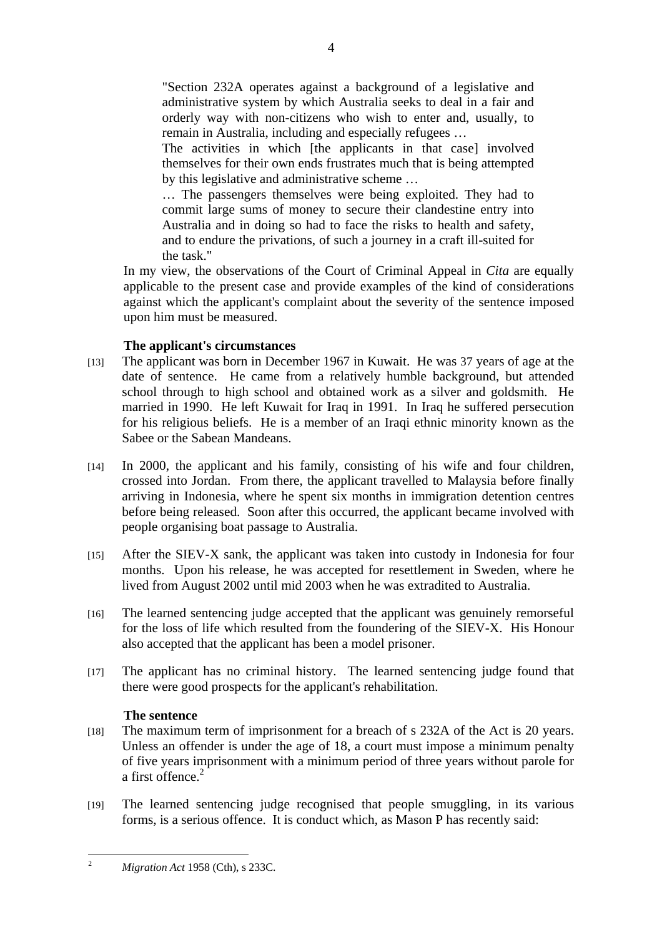"Section 232A operates against a background of a legislative and administrative system by which Australia seeks to deal in a fair and orderly way with non-citizens who wish to enter and, usually, to remain in Australia, including and especially refugees …

The activities in which [the applicants in that case] involved themselves for their own ends frustrates much that is being attempted by this legislative and administrative scheme …

… The passengers themselves were being exploited. They had to commit large sums of money to secure their clandestine entry into Australia and in doing so had to face the risks to health and safety, and to endure the privations, of such a journey in a craft ill-suited for the task."

In my view, the observations of the Court of Criminal Appeal in *Cita* are equally applicable to the present case and provide examples of the kind of considerations against which the applicant's complaint about the severity of the sentence imposed upon him must be measured.

## **The applicant's circumstances**

- [13] The applicant was born in December 1967 in Kuwait. He was 37 years of age at the date of sentence. He came from a relatively humble background, but attended school through to high school and obtained work as a silver and goldsmith. He married in 1990. He left Kuwait for Iraq in 1991. In Iraq he suffered persecution for his religious beliefs. He is a member of an Iraqi ethnic minority known as the Sabee or the Sabean Mandeans.
- [14] In 2000, the applicant and his family, consisting of his wife and four children, crossed into Jordan. From there, the applicant travelled to Malaysia before finally arriving in Indonesia, where he spent six months in immigration detention centres before being released. Soon after this occurred, the applicant became involved with people organising boat passage to Australia.
- [15] After the SIEV-X sank, the applicant was taken into custody in Indonesia for four months. Upon his release, he was accepted for resettlement in Sweden, where he lived from August 2002 until mid 2003 when he was extradited to Australia.
- [16] The learned sentencing judge accepted that the applicant was genuinely remorseful for the loss of life which resulted from the foundering of the SIEV-X. His Honour also accepted that the applicant has been a model prisoner.
- [17] The applicant has no criminal history. The learned sentencing judge found that there were good prospects for the applicant's rehabilitation.

## **The sentence**

- [18] The maximum term of imprisonment for a breach of s 232A of the Act is 20 years. Unless an offender is under the age of 18, a court must impose a minimum penalty of five years imprisonment with a minimum period of three years without parole for a first offence.<sup>2</sup>
- [19] The learned sentencing judge recognised that people smuggling, in its various forms, is a serious offence. It is conduct which, as Mason P has recently said:

 $\frac{1}{2}$ *Migration Act* 1958 (Cth), s 233C.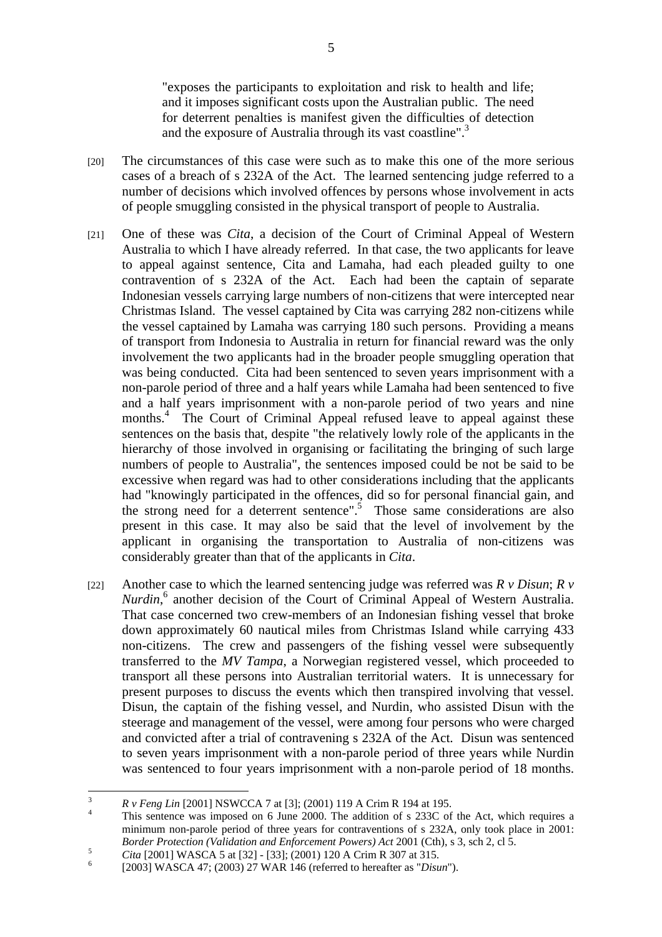"exposes the participants to exploitation and risk to health and life; and it imposes significant costs upon the Australian public. The need for deterrent penalties is manifest given the difficulties of detection and the exposure of Australia through its vast coastline".<sup>3</sup>

- [20] The circumstances of this case were such as to make this one of the more serious cases of a breach of s 232A of the Act. The learned sentencing judge referred to a number of decisions which involved offences by persons whose involvement in acts of people smuggling consisted in the physical transport of people to Australia.
- [21] One of these was *Cita*, a decision of the Court of Criminal Appeal of Western Australia to which I have already referred. In that case, the two applicants for leave to appeal against sentence, Cita and Lamaha, had each pleaded guilty to one contravention of s 232A of the Act. Each had been the captain of separate Indonesian vessels carrying large numbers of non-citizens that were intercepted near Christmas Island. The vessel captained by Cita was carrying 282 non-citizens while the vessel captained by Lamaha was carrying 180 such persons. Providing a means of transport from Indonesia to Australia in return for financial reward was the only involvement the two applicants had in the broader people smuggling operation that was being conducted. Cita had been sentenced to seven years imprisonment with a non-parole period of three and a half years while Lamaha had been sentenced to five and a half years imprisonment with a non-parole period of two years and nine months.<sup>4</sup> The Court of Criminal Appeal refused leave to appeal against these sentences on the basis that, despite "the relatively lowly role of the applicants in the hierarchy of those involved in organising or facilitating the bringing of such large numbers of people to Australia", the sentences imposed could be not be said to be excessive when regard was had to other considerations including that the applicants had "knowingly participated in the offences, did so for personal financial gain, and the strong need for a deterrent sentence".<sup>5</sup> Those same considerations are also present in this case. It may also be said that the level of involvement by the applicant in organising the transportation to Australia of non-citizens was considerably greater than that of the applicants in *Cita*.
- [22] Another case to which the learned sentencing judge was referred was *R v Disun*; *R v Nurdin*, 6 another decision of the Court of Criminal Appeal of Western Australia. That case concerned two crew-members of an Indonesian fishing vessel that broke down approximately 60 nautical miles from Christmas Island while carrying 433 non-citizens. The crew and passengers of the fishing vessel were subsequently transferred to the *MV Tampa*, a Norwegian registered vessel, which proceeded to transport all these persons into Australian territorial waters. It is unnecessary for present purposes to discuss the events which then transpired involving that vessel. Disun, the captain of the fishing vessel, and Nurdin, who assisted Disun with the steerage and management of the vessel, were among four persons who were charged and convicted after a trial of contravening s 232A of the Act. Disun was sentenced to seven years imprisonment with a non-parole period of three years while Nurdin was sentenced to four years imprisonment with a non-parole period of 18 months.

 3 *R v Feng Lin* [2001] NSWCCA 7 at [3]; (2001) 119 A Crim R 194 at 195.

This sentence was imposed on 6 June 2000. The addition of s 233C of the Act, which requires a minimum non-parole period of three years for contraventions of s 232A, only took place in 2001: *Border Protection (Validation and Enforcement Powers) Act 2001 (Cth), s 3, sch 2, cl 5.* 

<sup>&</sup>lt;sup>5</sup> *Cita* [2001] WASCA 5 at [32] - [33]; (2001) 120 A Crim R 307 at 315.

 <sup>[2003]</sup> WASCA 47; (2003) 27 WAR 146 (referred to hereafter as "*Disun*").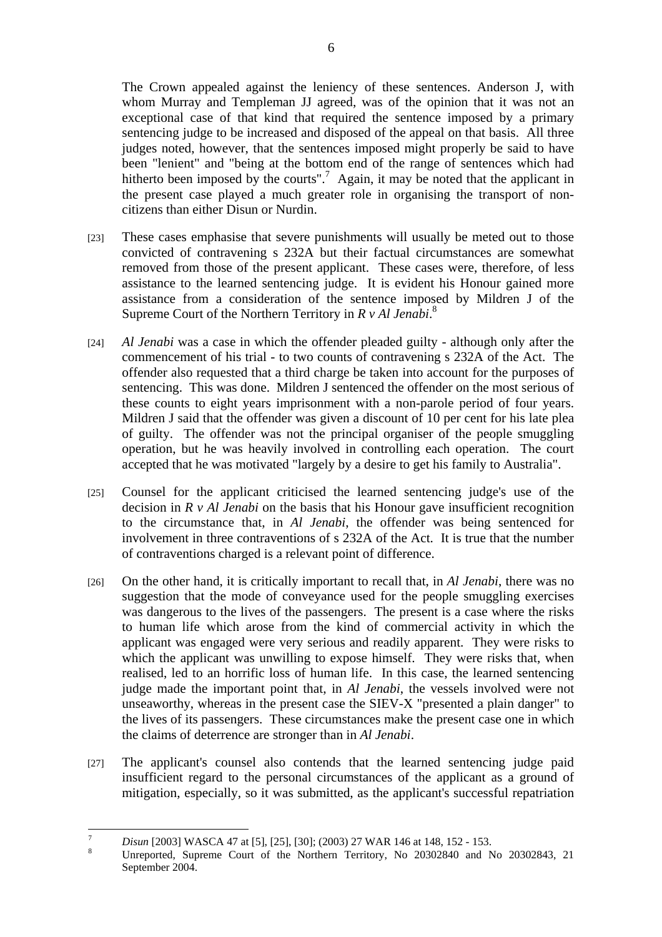The Crown appealed against the leniency of these sentences. Anderson J, with whom Murray and Templeman JJ agreed, was of the opinion that it was not an exceptional case of that kind that required the sentence imposed by a primary sentencing judge to be increased and disposed of the appeal on that basis. All three judges noted, however, that the sentences imposed might properly be said to have been "lenient" and "being at the bottom end of the range of sentences which had hitherto been imposed by the courts".<sup>7</sup> Again, it may be noted that the applicant in the present case played a much greater role in organising the transport of noncitizens than either Disun or Nurdin.

- [23] These cases emphasise that severe punishments will usually be meted out to those convicted of contravening s 232A but their factual circumstances are somewhat removed from those of the present applicant. These cases were, therefore, of less assistance to the learned sentencing judge. It is evident his Honour gained more assistance from a consideration of the sentence imposed by Mildren J of the Supreme Court of the Northern Territory in *R v Al Jenabi*.<sup>8</sup>
- [24] *Al Jenabi* was a case in which the offender pleaded guilty although only after the commencement of his trial - to two counts of contravening s 232A of the Act. The offender also requested that a third charge be taken into account for the purposes of sentencing. This was done. Mildren J sentenced the offender on the most serious of these counts to eight years imprisonment with a non-parole period of four years. Mildren J said that the offender was given a discount of 10 per cent for his late plea of guilty. The offender was not the principal organiser of the people smuggling operation, but he was heavily involved in controlling each operation. The court accepted that he was motivated "largely by a desire to get his family to Australia".
- [25] Counsel for the applicant criticised the learned sentencing judge's use of the decision in *R v Al Jenabi* on the basis that his Honour gave insufficient recognition to the circumstance that, in *Al Jenabi*, the offender was being sentenced for involvement in three contraventions of s 232A of the Act. It is true that the number of contraventions charged is a relevant point of difference.
- [26] On the other hand, it is critically important to recall that, in *Al Jenabi*, there was no suggestion that the mode of conveyance used for the people smuggling exercises was dangerous to the lives of the passengers. The present is a case where the risks to human life which arose from the kind of commercial activity in which the applicant was engaged were very serious and readily apparent. They were risks to which the applicant was unwilling to expose himself. They were risks that, when realised, led to an horrific loss of human life. In this case, the learned sentencing judge made the important point that, in *Al Jenabi*, the vessels involved were not unseaworthy, whereas in the present case the SIEV-X "presented a plain danger" to the lives of its passengers. These circumstances make the present case one in which the claims of deterrence are stronger than in *Al Jenabi*.
- [27] The applicant's counsel also contends that the learned sentencing judge paid insufficient regard to the personal circumstances of the applicant as a ground of mitigation, especially, so it was submitted, as the applicant's successful repatriation

<sup>&</sup>lt;sup>-</sup> *Disun* [2003] WASCA 47 at [5], [25], [30]; (2003) 27 WAR 146 at 148, 152 - 153.

Unreported, Supreme Court of the Northern Territory, No 20302840 and No 20302843, 21 September 2004.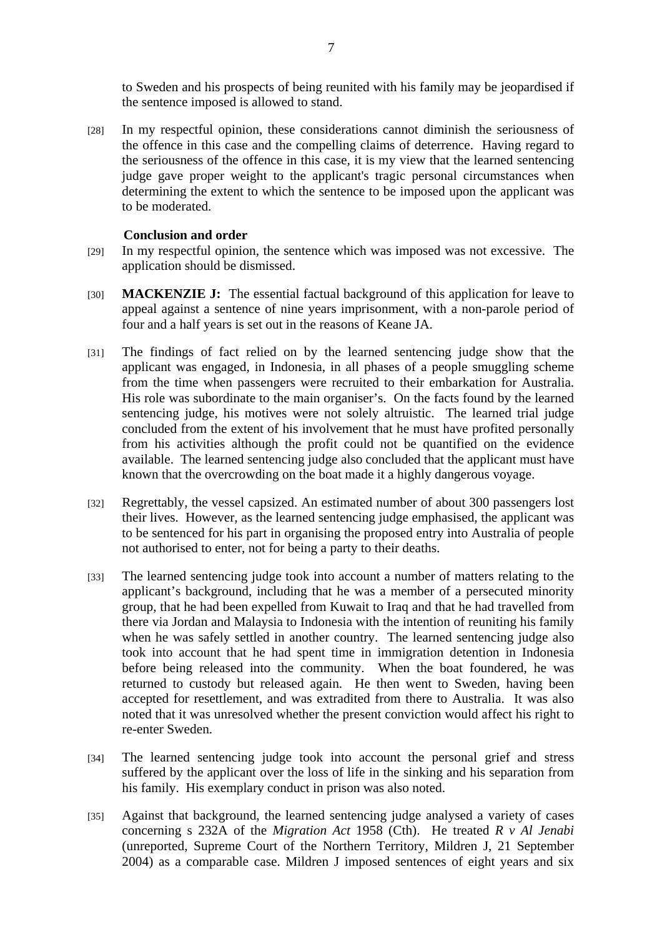to Sweden and his prospects of being reunited with his family may be jeopardised if the sentence imposed is allowed to stand.

[28] In my respectful opinion, these considerations cannot diminish the seriousness of the offence in this case and the compelling claims of deterrence. Having regard to the seriousness of the offence in this case, it is my view that the learned sentencing judge gave proper weight to the applicant's tragic personal circumstances when determining the extent to which the sentence to be imposed upon the applicant was to be moderated.

#### **Conclusion and order**

- [29] In my respectful opinion, the sentence which was imposed was not excessive. The application should be dismissed.
- [30] **MACKENZIE J:** The essential factual background of this application for leave to appeal against a sentence of nine years imprisonment, with a non-parole period of four and a half years is set out in the reasons of Keane JA.
- [31] The findings of fact relied on by the learned sentencing judge show that the applicant was engaged, in Indonesia, in all phases of a people smuggling scheme from the time when passengers were recruited to their embarkation for Australia. His role was subordinate to the main organiser's. On the facts found by the learned sentencing judge, his motives were not solely altruistic. The learned trial judge concluded from the extent of his involvement that he must have profited personally from his activities although the profit could not be quantified on the evidence available. The learned sentencing judge also concluded that the applicant must have known that the overcrowding on the boat made it a highly dangerous voyage.
- [32] Regrettably, the vessel capsized. An estimated number of about 300 passengers lost their lives. However, as the learned sentencing judge emphasised, the applicant was to be sentenced for his part in organising the proposed entry into Australia of people not authorised to enter, not for being a party to their deaths.
- [33] The learned sentencing judge took into account a number of matters relating to the applicant's background, including that he was a member of a persecuted minority group, that he had been expelled from Kuwait to Iraq and that he had travelled from there via Jordan and Malaysia to Indonesia with the intention of reuniting his family when he was safely settled in another country. The learned sentencing judge also took into account that he had spent time in immigration detention in Indonesia before being released into the community. When the boat foundered, he was returned to custody but released again. He then went to Sweden, having been accepted for resettlement, and was extradited from there to Australia. It was also noted that it was unresolved whether the present conviction would affect his right to re-enter Sweden.
- [34] The learned sentencing judge took into account the personal grief and stress suffered by the applicant over the loss of life in the sinking and his separation from his family. His exemplary conduct in prison was also noted.
- [35] Against that background, the learned sentencing judge analysed a variety of cases concerning s 232A of the *Migration Act* 1958 (Cth). He treated *R v Al Jenabi* (unreported, Supreme Court of the Northern Territory, Mildren J, 21 September 2004) as a comparable case. Mildren J imposed sentences of eight years and six